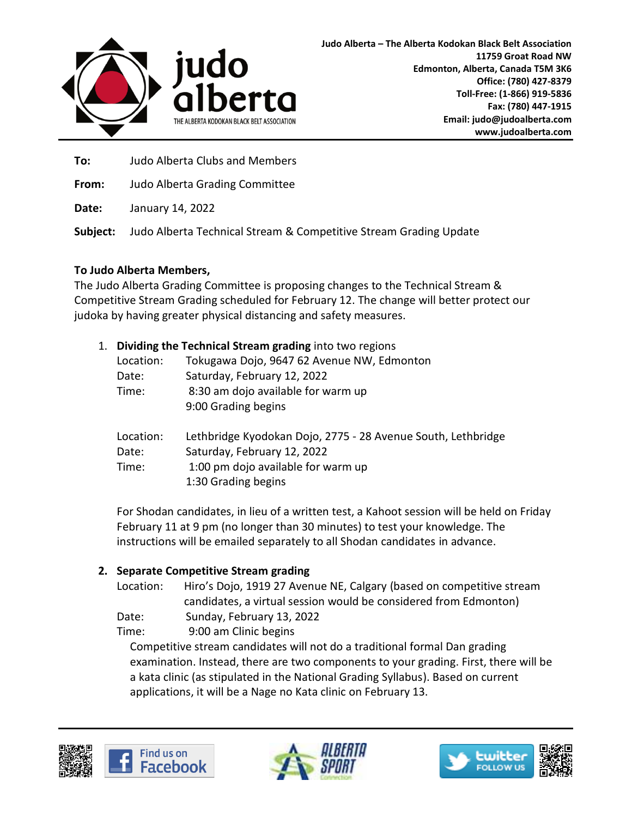

**To:** Judo Alberta Clubs and Members

**From:** Judo Alberta Grading Committee

**Date:** January 14, 2022

**Subject:** Judo Alberta Technical Stream & Competitive Stream Grading Update

## **To Judo Alberta Members,**

The Judo Alberta Grading Committee is proposing changes to the Technical Stream & Competitive Stream Grading scheduled for February 12. The change will better protect our judoka by having greater physical distancing and safety measures.

| 1. | Dividing the Technical Stream grading into two regions |                                                              |
|----|--------------------------------------------------------|--------------------------------------------------------------|
|    | Location:                                              | Tokugawa Dojo, 9647 62 Avenue NW, Edmonton                   |
|    | Date:                                                  | Saturday, February 12, 2022                                  |
|    | Time:                                                  | 8:30 am dojo available for warm up                           |
|    |                                                        | 9:00 Grading begins                                          |
|    | Location:                                              | Lethbridge Kyodokan Dojo, 2775 - 28 Avenue South, Lethbridge |
|    | Date:                                                  | Saturday, February 12, 2022                                  |
|    | Time:                                                  | 1:00 pm dojo available for warm up                           |
|    |                                                        | 1:30 Grading begins                                          |

For Shodan candidates, in lieu of a written test, a Kahoot session will be held on Friday February 11 at 9 pm (no longer than 30 minutes) to test your knowledge. The instructions will be emailed separately to all Shodan candidates in advance.

## **2. Separate Competitive Stream grading**

Location: Hiro's Dojo, 1919 27 Avenue NE, Calgary (based on competitive stream candidates, a virtual session would be considered from Edmonton)

Date: Sunday, February 13, 2022

Time: 9:00 am Clinic begins

Competitive stream candidates will not do a traditional formal Dan grading examination. Instead, there are two components to your grading. First, there will be a kata clinic (as stipulated in the National Grading Syllabus). Based on current applications, it will be a Nage no Kata clinic on February 13.





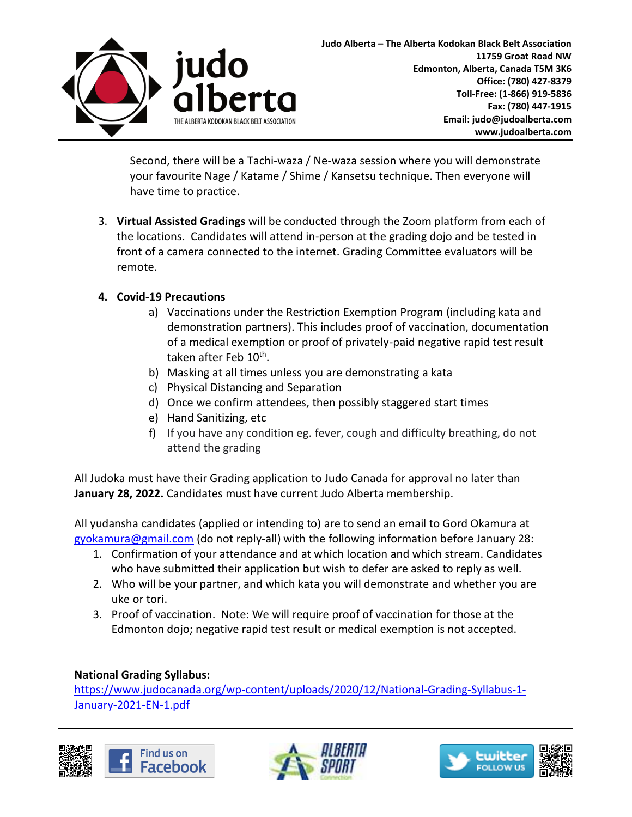

Second, there will be a Tachi-waza / Ne-waza session where you will demonstrate your favourite Nage / Katame / Shime / Kansetsu technique. Then everyone will have time to practice.

3. **Virtual Assisted Gradings** will be conducted through the Zoom platform from each of the locations. Candidates will attend in-person at the grading dojo and be tested in front of a camera connected to the internet. Grading Committee evaluators will be remote.

## **4. Covid-19 Precautions**

- a) Vaccinations under the Restriction Exemption Program (including kata and demonstration partners). This includes proof of vaccination, documentation of a medical exemption or proof of privately-paid negative rapid test result taken after Feb 10<sup>th</sup>.
- b) Masking at all times unless you are demonstrating a kata
- c) Physical Distancing and Separation
- d) Once we confirm attendees, then possibly staggered start times
- e) Hand Sanitizing, etc
- f) If you have any condition eg. fever, cough and difficulty breathing, do not attend the grading

All Judoka must have their Grading application to Judo Canada for approval no later than **January 28, 2022.** Candidates must have current Judo Alberta membership.

All yudansha candidates (applied or intending to) are to send an email to Gord Okamura at [gyokamura@gmail.com](mailto:gyokamura@gmail.com) (do not reply-all) with the following information before January 28:

- 1. Confirmation of your attendance and at which location and which stream. Candidates who have submitted their application but wish to defer are asked to reply as well.
- 2. Who will be your partner, and which kata you will demonstrate and whether you are uke or tori.
- 3. Proof of vaccination. Note: We will require proof of vaccination for those at the Edmonton dojo; negative rapid test result or medical exemption is not accepted.

## **National Grading Syllabus:**

[https://www.judocanada.org/wp-content/uploads/2020/12/National-Grading-Syllabus-1-](https://www.judocanada.org/wp-content/uploads/2020/12/National-Grading-Syllabus-1-January-2021-EN-1.pdf) [January-2021-EN-1.pdf](https://www.judocanada.org/wp-content/uploads/2020/12/National-Grading-Syllabus-1-January-2021-EN-1.pdf)